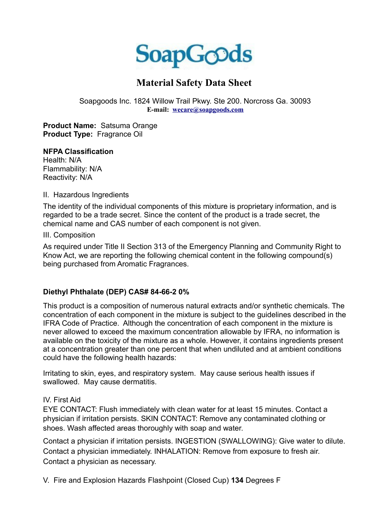

# **Material Safety Data Sheet**

Soapgoods Inc. 1824 Willow Trail Pkwy. Ste 200. Norcross Ga. 30093 **E-mail: wecare@soapgoods.com**

**Product Name:** Satsuma Orange **Product Type:** Fragrance Oil

### **NFPA Classification**

Health: N/A Flammability: N/A Reactivity: N/A

II. Hazardous Ingredients

The identity of the individual components of this mixture is proprietary information, and is regarded to be a trade secret. Since the content of the product is a trade secret, the chemical name and CAS number of each component is not given.

III. Composition

As required under Title II Section 313 of the Emergency Planning and Community Right to Know Act, we are reporting the following chemical content in the following compound(s) being purchased from Aromatic Fragrances.

## **Diethyl Phthalate (DEP) CAS# 84-66-2 0%**

This product is a composition of numerous natural extracts and/or synthetic chemicals. The concentration of each component in the mixture is subject to the guidelines described in the IFRA Code of Practice. Although the concentration of each component in the mixture is never allowed to exceed the maximum concentration allowable by IFRA, no information is available on the toxicity of the mixture as a whole. However, it contains ingredients present at a concentration greater than one percent that when undiluted and at ambient conditions could have the following health hazards:

Irritating to skin, eyes, and respiratory system. May cause serious health issues if swallowed. May cause dermatitis.

## IV. First Aid

EYE CONTACT: Flush immediately with clean water for at least 15 minutes. Contact a physician if irritation persists. SKIN CONTACT: Remove any contaminated clothing or shoes. Wash affected areas thoroughly with soap and water.

Contact a physician if irritation persists. INGESTION (SWALLOWING): Give water to dilute. Contact a physician immediately. INHALATION: Remove from exposure to fresh air. Contact a physician as necessary.

V. Fire and Explosion Hazards Flashpoint (Closed Cup) **134** Degrees F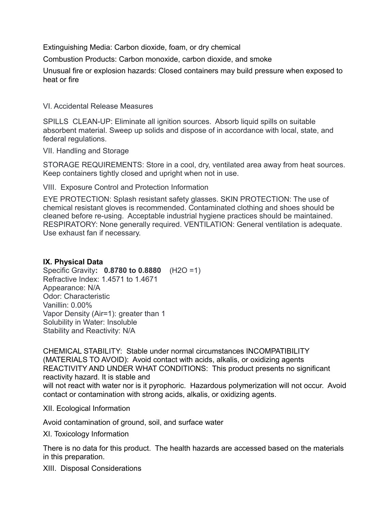Extinguishing Media: Carbon dioxide, foam, or dry chemical

Combustion Products: Carbon monoxide, carbon dioxide, and smoke

Unusual fire or explosion hazards: Closed containers may build pressure when exposed to heat or fire

VI. Accidental Release Measures

SPILLS CLEAN-UP: Eliminate all ignition sources. Absorb liquid spills on suitable absorbent material. Sweep up solids and dispose of in accordance with local, state, and federal regulations.

VII. Handling and Storage

STORAGE REQUIREMENTS: Store in a cool, dry, ventilated area away from heat sources. Keep containers tightly closed and upright when not in use.

VIII. Exposure Control and Protection Information

EYE PROTECTION: Splash resistant safety glasses. SKIN PROTECTION: The use of chemical resistant gloves is recommended. Contaminated clothing and shoes should be cleaned before re-using. Acceptable industrial hygiene practices should be maintained. RESPIRATORY: None generally required. VENTILATION: General ventilation is adequate. Use exhaust fan if necessary.

## **IX. Physical Data**

Specific Gravity**: 0.8780 to 0.8880** (H2O =1) Refractive Index: 1.4571 to 1.4671 Appearance: N/A Odor: Characteristic Vanillin: 0.00% Vapor Density (Air=1): greater than 1 Solubility in Water: Insoluble Stability and Reactivity: N/A

CHEMICAL STABILITY: Stable under normal circumstances INCOMPATIBILITY (MATERIALS TO AVOID): Avoid contact with acids, alkalis, or oxidizing agents REACTIVITY AND UNDER WHAT CONDITIONS: This product presents no significant reactivity hazard. It is stable and will not react with water nor is it pyrophoric. Hazardous polymerization will not occur. Avoid contact or contamination with strong acids, alkalis, or oxidizing agents.

XII. Ecological Information

Avoid contamination of ground, soil, and surface water

XI. Toxicology Information

There is no data for this product. The health hazards are accessed based on the materials in this preparation.

XIII. Disposal Considerations